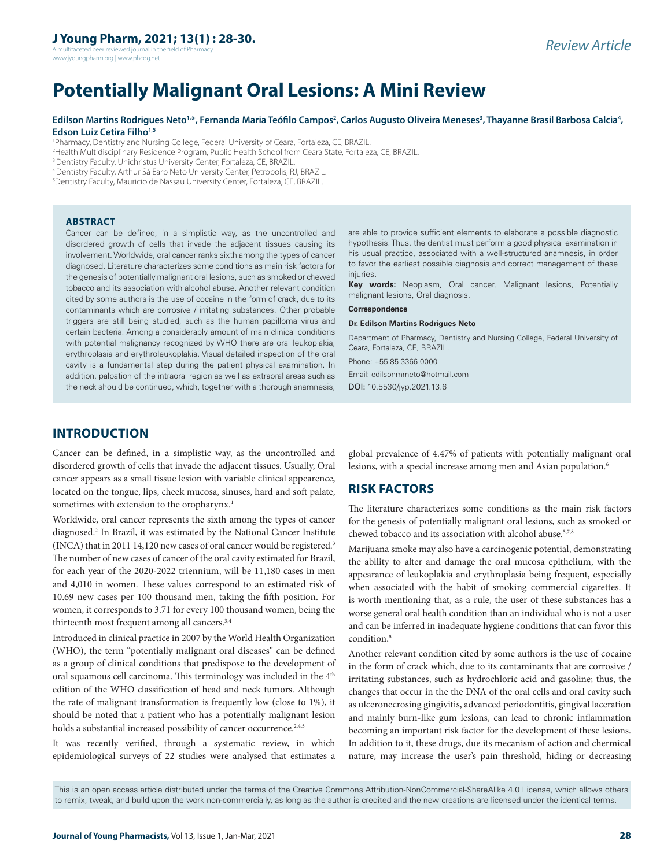A multifaceted peer reviewed journal in the field of Pharm www.jyoungpharm.org | www.phcog.net

# **Potentially Malignant Oral Lesions: A Mini Review**

#### Edilson Martins Rodrigues Neto<sup>1,</sup>\*, Fernanda Maria Teófilo Campos<sup>2</sup>, Carlos Augusto Oliveira Meneses<sup>3</sup>, Thayanne Brasil Barbosa Calcia<sup>4</sup>, **Edson Luiz Cetira Filho1,5**

1 Pharmacy, Dentistry and Nursing College, Federal University of Ceara, Fortaleza, CE, BRAZIL.

2 Health Multidisciplinary Residence Program, Public Health School from Ceara State, Fortaleza, CE, BRAZIL.

<sup>3</sup> Dentistry Faculty, Unichristus University Center, Fortaleza, CE, BRAZIL.

4 Dentistry Faculty, Arthur Sá Earp Neto University Center, Petropolis, RJ, BRAZIL.

5 Dentistry Faculty, Mauricio de Nassau University Center, Fortaleza, CE, BRAZIL.

#### **ABSTRACT**

Cancer can be defined, in a simplistic way, as the uncontrolled and disordered growth of cells that invade the adjacent tissues causing its involvement. Worldwide, oral cancer ranks sixth among the types of cancer diagnosed. Literature characterizes some conditions as main risk factors for the genesis of potentially malignant oral lesions, such as smoked or chewed tobacco and its association with alcohol abuse. Another relevant condition cited by some authors is the use of cocaine in the form of crack, due to its contaminants which are corrosive / irritating substances. Other probable triggers are still being studied, such as the human papilloma virus and certain bacteria. Among a considerably amount of main clinical conditions with potential malignancy recognized by WHO there are oral leukoplakia, erythroplasia and erythroleukoplakia. Visual detailed inspection of the oral cavity is a fundamental step during the patient physical examination. In addition, palpation of the intraoral region as well as extraoral areas such as the neck should be continued, which, together with a thorough anamnesis,

are able to provide sufficient elements to elaborate a possible diagnostic hypothesis. Thus, the dentist must perform a good physical examination in his usual practice, associated with a well-structured anamnesis, in order to favor the earliest possible diagnosis and correct management of these injuries.

**Key words:** Neoplasm, Oral cancer, Malignant lesions, Potentially malignant lesions, Oral diagnosis.

#### **Correspondence**

#### **Dr. Edilson Martins Rodrigues Neto**

Department of Pharmacy, Dentistry and Nursing College, Federal University of Ceara, Fortaleza, CE, BRAZIL.

Phone: +55 85 3366-0000 Email: edilsonmrneto@hotmail.com

DOI: 10.5530/jyp.2021.13.6

## **INTRODUCTION**

Cancer can be defined, in a simplistic way, as the uncontrolled and disordered growth of cells that invade the adjacent tissues. Usually, Oral cancer appears as a small tissue lesion with variable clinical appearence, located on the tongue, lips, cheek mucosa, sinuses, hard and soft palate, sometimes with extension to the oropharynx.<sup>1</sup>

Worldwide, oral cancer represents the sixth among the types of cancer diagnosed.2 In Brazil, it was estimated by the National Cancer Institute (INCA) that in 2011 14,120 new cases of oral cancer would be registered.<sup>3</sup> The number of new cases of cancer of the oral cavity estimated for Brazil, for each year of the 2020-2022 triennium, will be 11,180 cases in men and 4,010 in women. These values correspond to an estimated risk of 10.69 new cases per 100 thousand men, taking the fifth position. For women, it corresponds to 3.71 for every 100 thousand women, being the thirteenth most frequent among all cancers.3,4

Introduced in clinical practice in 2007 by the World Health Organization (WHO), the term "potentially malignant oral diseases" can be defined as a group of clinical conditions that predispose to the development of oral squamous cell carcinoma. This terminology was included in the 4<sup>th</sup> edition of the WHO classification of head and neck tumors. Although the rate of malignant transformation is frequently low (close to 1%), it should be noted that a patient who has a potentially malignant lesion holds a substantial increased possibility of cancer occurrence.<sup>2,4,5</sup>

It was recently verified, through a systematic review, in which epidemiological surveys of 22 studies were analysed that estimates a

global prevalence of 4.47% of patients with potentially malignant oral lesions, with a special increase among men and Asian population.<sup>6</sup>

## **RISK FACTORS**

The literature characterizes some conditions as the main risk factors for the genesis of potentially malignant oral lesions, such as smoked or chewed tobacco and its association with alcohol abuse.5,7,8

Marijuana smoke may also have a carcinogenic potential, demonstrating the ability to alter and damage the oral mucosa epithelium, with the appearance of leukoplakia and erythroplasia being frequent, especially when associated with the habit of smoking commercial cigarettes. It is worth mentioning that, as a rule, the user of these substances has a worse general oral health condition than an individual who is not a user and can be inferred in inadequate hygiene conditions that can favor this condition.8

Another relevant condition cited by some authors is the use of cocaine in the form of crack which, due to its contaminants that are corrosive / irritating substances, such as hydrochloric acid and gasoline; thus, the changes that occur in the the DNA of the oral cells and oral cavity such as ulceronecrosing gingivitis, advanced periodontitis, gingival laceration and mainly burn-like gum lesions, can lead to chronic inflammation becoming an important risk factor for the development of these lesions. In addition to it, these drugs, due its mecanism of action and chermical nature, may increase the user's pain threshold, hiding or decreasing

This is an open access article distributed under the terms of the Creative Commons Attribution-NonCommercial-ShareAlike 4.0 License, which allows others to remix, tweak, and build upon the work non-commercially, as long as the author is credited and the new creations are licensed under the identical terms.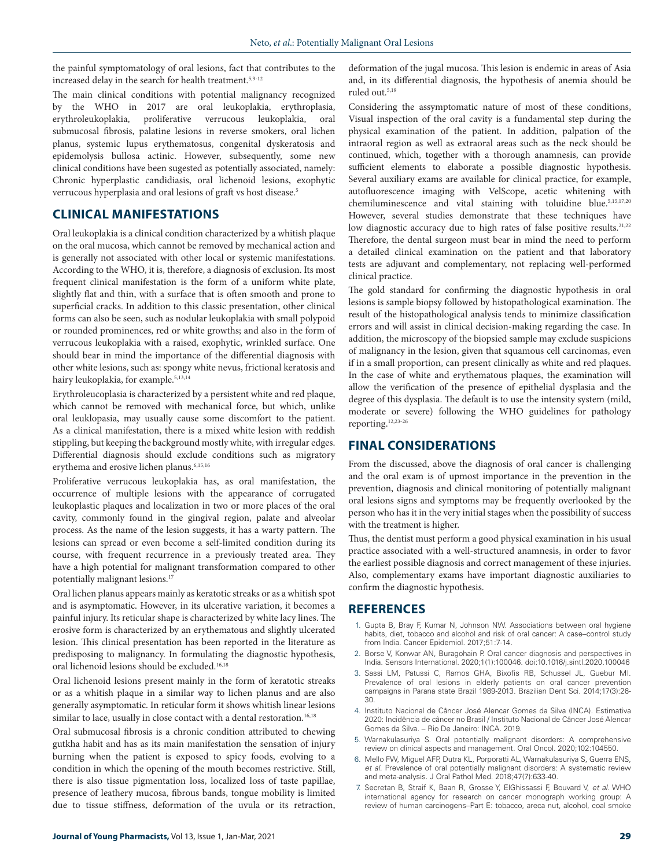the painful symptomatology of oral lesions, fact that contributes to the increased delay in the search for health treatment.<sup>5,9-12</sup>

The main clinical conditions with potential malignancy recognized by the WHO in 2017 are oral leukoplakia, erythroplasia, erythroleukoplakia, proliferative verrucous leukoplakia, oral submucosal fibrosis, palatine lesions in reverse smokers, oral lichen planus, systemic lupus erythematosus, congenital dyskeratosis and epidemolysis bullosa actinic. However, subsequently, some new clinical conditions have been sugested as potentially associated, namely: Chronic hyperplastic candidiasis, oral lichenoid lesions, exophytic verrucous hyperplasia and oral lesions of graft vs host disease.<sup>5</sup>

## **CLINICAL MANIFESTATIONS**

Oral leukoplakia is a clinical condition characterized by a whitish plaque on the oral mucosa, which cannot be removed by mechanical action and is generally not associated with other local or systemic manifestations. According to the WHO, it is, therefore, a diagnosis of exclusion. Its most frequent clinical manifestation is the form of a uniform white plate, slightly flat and thin, with a surface that is often smooth and prone to superficial cracks. In addition to this classic presentation, other clinical forms can also be seen, such as nodular leukoplakia with small polypoid or rounded prominences, red or white growths; and also in the form of verrucous leukoplakia with a raised, exophytic, wrinkled surface. One should bear in mind the importance of the differential diagnosis with other white lesions, such as: spongy white nevus, frictional keratosis and hairy leukoplakia, for example.<sup>5,13,14</sup>

Erythroleucoplasia is characterized by a persistent white and red plaque, which cannot be removed with mechanical force, but which, unlike oral leuklopasia, may usually cause some discomfort to the patient. As a clinical manifestation, there is a mixed white lesion with reddish stippling, but keeping the background mostly white, with irregular edges. Differential diagnosis should exclude conditions such as migratory erythema and erosive lichen planus.<sup>6,15,16</sup>

Proliferative verrucous leukoplakia has, as oral manifestation, the occurrence of multiple lesions with the appearance of corrugated leukoplastic plaques and localization in two or more places of the oral cavity, commonly found in the gingival region, palate and alveolar process. As the name of the lesion suggests, it has a warty pattern. The lesions can spread or even become a self-limited condition during its course, with frequent recurrence in a previously treated area. They have a high potential for malignant transformation compared to other potentially malignant lesions.17

Oral lichen planus appears mainly as keratotic streaks or as a whitish spot and is asymptomatic. However, in its ulcerative variation, it becomes a painful injury. Its reticular shape is characterized by white lacy lines. The erosive form is characterized by an erythematous and slightly ulcerated lesion. This clinical presentation has been reported in the literature as predisposing to malignancy. In formulating the diagnostic hypothesis, oral lichenoid lesions should be excluded.16,18

Oral lichenoid lesions present mainly in the form of keratotic streaks or as a whitish plaque in a similar way to lichen planus and are also generally asymptomatic. In reticular form it shows whitish linear lesions similar to lace, usually in close contact with a dental restoration.<sup>16,18</sup>

Oral submucosal fibrosis is a chronic condition attributed to chewing gutkha habit and has as its main manifestation the sensation of injury burning when the patient is exposed to spicy foods, evolving to a condition in which the opening of the mouth becomes restrictive. Still, there is also tissue pigmentation loss, localized loss of taste papillae, presence of leathery mucosa, fibrous bands, tongue mobility is limited due to tissue stiffness, deformation of the uvula or its retraction,

deformation of the jugal mucosa. This lesion is endemic in areas of Asia and, in its differential diagnosis, the hypothesis of anemia should be ruled out.5,19

Considering the assymptomatic nature of most of these conditions, Visual inspection of the oral cavity is a fundamental step during the physical examination of the patient. In addition, palpation of the intraoral region as well as extraoral areas such as the neck should be continued, which, together with a thorough anamnesis, can provide sufficient elements to elaborate a possible diagnostic hypothesis. Several auxiliary exams are available for clinical practice, for example, autofluorescence imaging with VelScope, acetic whitening with chemiluminescence and vital staining with toluidine blue.5,15,17,20 However, several studies demonstrate that these techniques have low diagnostic accuracy due to high rates of false positive results.<sup>21,22</sup> Therefore, the dental surgeon must bear in mind the need to perform a detailed clinical examination on the patient and that laboratory tests are adjuvant and complementary, not replacing well-performed clinical practice.

The gold standard for confirming the diagnostic hypothesis in oral lesions is sample biopsy followed by histopathological examination. The result of the histopathological analysis tends to minimize classification errors and will assist in clinical decision-making regarding the case. In addition, the microscopy of the biopsied sample may exclude suspicions of malignancy in the lesion, given that squamous cell carcinomas, even if in a small proportion, can present clinically as white and red plaques. In the case of white and erythematous plaques, the examination will allow the verification of the presence of epithelial dysplasia and the degree of this dysplasia. The default is to use the intensity system (mild, moderate or severe) following the WHO guidelines for pathology reporting.12,23-26

## **FINAL CONSIDERATIONS**

From the discussed, above the diagnosis of oral cancer is challenging and the oral exam is of upmost importance in the prevention in the prevention, diagnosis and clinical monitoring of potentially malignant oral lesions signs and symptoms may be frequently overlooked by the person who has it in the very initial stages when the possibility of success with the treatment is higher.

Thus, the dentist must perform a good physical examination in his usual practice associated with a well-structured anamnesis, in order to favor the earliest possible diagnosis and correct management of these injuries. Also, complementary exams have important diagnostic auxiliaries to confirm the diagnostic hypothesis.

### **REFERENCES**

- 1. Gupta B, Bray F, Kumar N, Johnson NW. Associations between oral hygiene habits, diet, tobacco and alcohol and risk of oral cancer: A case–control study from India. Cancer Epidemiol. 2017;51:7-14.
- 2. Borse V, Konwar AN, Buragohain P. Oral cancer diagnosis and perspectives in India. Sensors International. 2020;1(1):100046. doi:10.1016/j.sintl.2020.100046
- 3. Sassi LM, Patussi C, Ramos GHA, Bixofis RB, Schussel JL, Guebur MI. Prevalence of oral lesions in elderly patients on oral cancer prevention campaigns in Parana state Brazil 1989-2013. Brazilian Dent Sci. 2014;17(3):26- 30.
- 4. Instituto Nacional de Câncer José Alencar Gomes da Silva (INCA). Estimativa 2020: Incidência de câncer no Brasil / Instituto Nacional de Câncer José Alencar Gomes da Silva. – Rio De Janeiro: INCA. 2019.
- 5. Warnakulasuriya S. Oral potentially malignant disorders: A comprehensive review on clinical aspects and management. Oral Oncol. 2020;102:104550.
- 6. Mello FW, Miguel AFP, Dutra KL, Porporatti AL, Warnakulasuriya S, Guerra ENS, *et al.* Prevalence of oral potentially malignant disorders: A systematic review and meta-analysis. J Oral Pathol Med. 2018;47(7):633-40.
- 7. Secretan B, Straif K, Baan R, Grosse Y, ElGhissassi F, Bouvard V, *et al.* WHO international agency for research on cancer monograph working group: A review of human carcinogens–Part E: tobacco, areca nut, alcohol, coal smoke